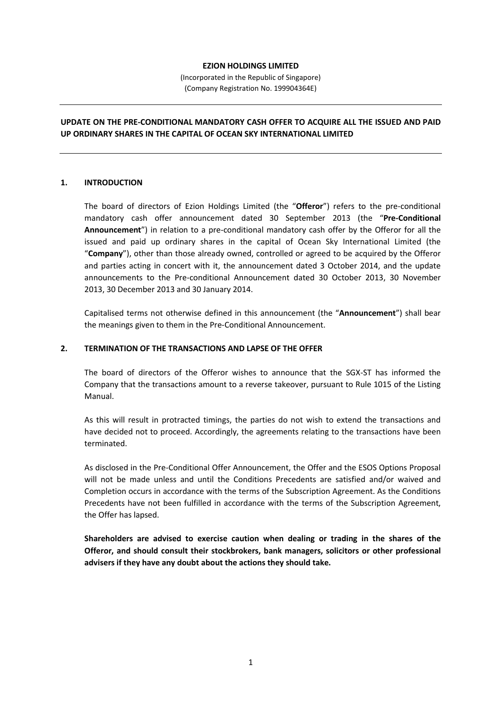## EZION HOLDINGS LIMITED

(Incorporated in the Republic of Singapore) (Company Registration No. 199904364E)

# UPDATE ON THE PRE-CONDITIONAL MANDATORY CASH OFFER TO ACQUIRE ALL THE ISSUED AND PAID UP ORDINARY SHARES IN THE CAPITAL OF OCEAN SKY INTERNATIONAL LIMITED

## 1. INTRODUCTION

The board of directors of Ezion Holdings Limited (the "Offeror") refers to the pre-conditional mandatory cash offer announcement dated 30 September 2013 (the "Pre-Conditional Announcement") in relation to a pre-conditional mandatory cash offer by the Offeror for all the issued and paid up ordinary shares in the capital of Ocean Sky International Limited (the "Company"), other than those already owned, controlled or agreed to be acquired by the Offeror and parties acting in concert with it, the announcement dated 3 October 2014, and the update announcements to the Pre-conditional Announcement dated 30 October 2013, 30 November 2013, 30 December 2013 and 30 January 2014.

Capitalised terms not otherwise defined in this announcement (the "Announcement") shall bear the meanings given to them in the Pre-Conditional Announcement.

## 2. TERMINATION OF THE TRANSACTIONS AND LAPSE OF THE OFFER

The board of directors of the Offeror wishes to announce that the SGX-ST has informed the Company that the transactions amount to a reverse takeover, pursuant to Rule 1015 of the Listing Manual.

As this will result in protracted timings, the parties do not wish to extend the transactions and have decided not to proceed. Accordingly, the agreements relating to the transactions have been terminated.

As disclosed in the Pre-Conditional Offer Announcement, the Offer and the ESOS Options Proposal will not be made unless and until the Conditions Precedents are satisfied and/or waived and Completion occurs in accordance with the terms of the Subscription Agreement. As the Conditions Precedents have not been fulfilled in accordance with the terms of the Subscription Agreement, the Offer has lapsed.

Shareholders are advised to exercise caution when dealing or trading in the shares of the Offeror, and should consult their stockbrokers, bank managers, solicitors or other professional advisers if they have any doubt about the actions they should take.